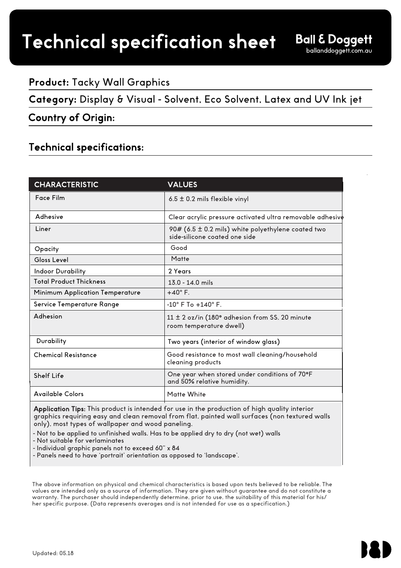# Technical specification sheet

## **Product:** Tacky Wall Graphics

**Category:** Display & Visual - Solvent, Eco Solvent, Latex and UV Ink jet

### Country of Origin:

## Technical specifications:

| <b>CHARACTERISTIC</b>           | <b>VALUES</b>                                                                       |
|---------------------------------|-------------------------------------------------------------------------------------|
| Face Film                       | $6.5 \pm 0.2$ mils flexible vinyl                                                   |
| Adhesive                        | Clear acrylic pressure activated ultra removable adhesive                           |
| Liner                           | 90# (6.5 ± 0.2 mils) white polyethylene coated two<br>side-silicone coated one side |
| Opacity                         | Good                                                                                |
| Gloss Level                     | Matte                                                                               |
| <b>Indoor Durability</b>        | 2 Years                                                                             |
| <b>Total Product Thickness</b>  | $13.0 - 14.0$ mils                                                                  |
| Minimum Application Temperature | $+40^\circ$ F.                                                                      |
| Service Temperature Range       | $-10^\circ$ F To $+140^\circ$ F.                                                    |
| Adhesion                        | 11 ± 2 oz/in (180° adhesion from SS, 20 minute<br>room temperature dwell)           |
| Durability                      | Two years (interior of window glass)                                                |
| <b>Chemical Resistance</b>      | Good resistance to most wall cleaning/household<br>cleaning products                |
| Shelf Life                      | One year when stored under conditions of 70°F<br>and 50% relative humidity.         |
| <b>Available Colors</b>         | Matte White                                                                         |

Application Tips: This product is intended for use in the production of high quality interior graphics requiring easy and clean removal from flat, painted wall surfaces (non textured walls only), most types of wallpaper and wood paneling.

- Not to be applied to unfinished walls. Has to be applied dry to dry (not wet) walls

- Not suitable for verlaminates

- Individual graphic panels not to exceed 60" x 84

- Panels need to have 'portrait' orientation as opposed to 'landscape'.

The above information on physical and chemical characteristics is based upon tests believed to be reliable. The values are intended only as a source of information. They are given without guarantee and do not constitute a warranty. The purchaser should independently determine, prior to use, the suitability of this material for his/ her specific purpose. (Data represents averages and is not intended for use as a specification.)